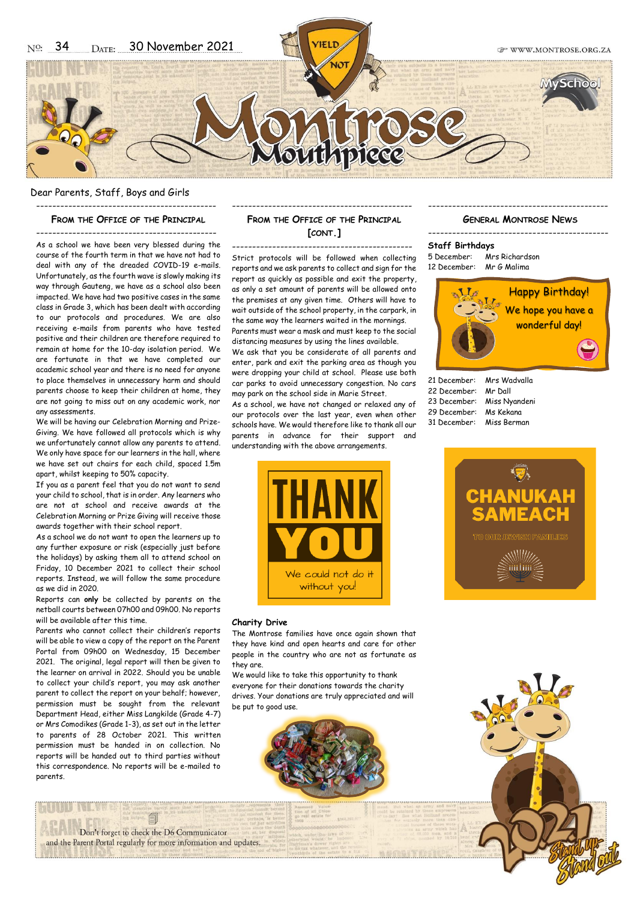### Dear Parents, Staff, Boys and Girls ---------------------------------------------

#### **FROM THE OFFICE OF THE PRINCIPAL**

--------------------------------------------- As a school we have been very blessed during the course of the fourth term in that we have not had to deal with any of the dreaded COVID-19 e-mails. Unfortunately, as the fourth wave is slowly making its way through Gauteng, we have as a school also been impacted. We have had two positive cases in the same class in Grade 3, which has been dealt with according to our protocols and procedures. We are also receiving e-mails from parents who have tested positive and their children are therefore required to remain at home for the 10-day isolation period. We are fortunate in that we have completed our academic school year and there is no need for anyone to place themselves in unnecessary harm and should parents choose to keep their children at home, they are not going to miss out on any academic work, nor any assessments.

We will be having our Celebration Morning and Prize-Giving. We have followed all protocols which is why we unfortunately cannot allow any parents to attend. We only have space for our learners in the hall, where we have set out chairs for each child, spaced 1.5m apart, whilst keeping to 50% capacity.

If you as a parent feel that you do not want to send your child to school, that is in order. Any learners who are not at school and receive awards at the Celebration Morning or Prize Giving will receive those awards together with their school report.

As a school we do not want to open the learners up to any further exposure or risk (especially just before the holidays) by asking them all to attend school on Friday, 10 December 2021 to collect their school reports. Instead, we will follow the same procedure as we did in 2020.

Reports can **only** be collected by parents on the netball courts between 07h00 and 09h00. No reports will be available after this time.

Parents who cannot collect their children's reports will be able to view a copy of the report on the Parent Portal from 09h00 on Wednesday, 15 December 2021. The original, legal report will then be given to the learner on arrival in 2022. Should you be unable to collect your child's report, you may ask another parent to collect the report on your behalf; however, permission must be sought from the relevant Department Head, either Miss Langkilde (Grade 4-7) or Mrs Comodikes (Grade 1-3), as set out in the letter to parents of 28 October 2021. This written permission must be handed in on collection. No reports will be handed out to third parties without this correspondence. No reports will be e-mailed to parents.

# --------------------------------------------- **FROM THE OFFICE OF THE PRINCIPAL [CONT.]**

--------------------------------------------- Strict protocols will be followed when collecting reports and we ask parents to collect and sign for the report as quickly as possible and exit the property, as only a set amount of parents will be allowed onto the premises at any given time. Others will have to wait outside of the school property, in the carpark, in the same way the learners waited in the mornings. Parents must wear a mask and must keep to the social distancing measures by using the lines available.

We ask that you be considerate of all parents and enter, park and exit the parking area as though you were dropping your child at school. Please use both car parks to avoid unnecessary congestion. No cars may park on the school side in Marie Street.

As a school, we have not changed or relaxed any of our protocols over the last year, even when other schools have. We would therefore like to thank all our parents in advance for their support and understanding with the above arrangements.



#### **Charity Drive**

The Montrose families have once again shown that they have kind and open hearts and care for other people in the country who are not as fortunate as they are.

We would like to take this opportunity to thank everyone for their donations towards the charity drives. Your donations are truly appreciated and will be put to good use.



# --------------------------------------------- **GENERAL MONTROSE NEWS**

--------------------------------------------- **Staff Birthdays** 5 December: Mrs Richardson 12 December: Mr G Malima



21 December: Mrs Wadvalla<br>22 December: Mr Dall 22 December: 23 December: Miss Nyandeni 29 December: Ms Kekana